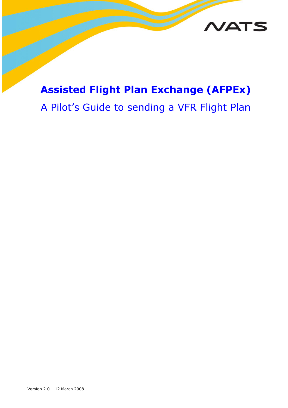

## **Assisted Flight Plan Exchange (AFPEx)**

# A Pilot's Guide to sending a VFR Flight Plan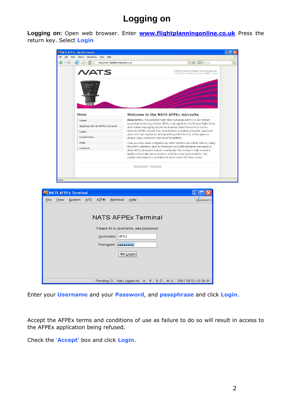### **Logging on**

**Logging on:** Open web browser. Enter **[www.flightplanningonline.co.uk](http://www.flightplanningonline.co.uk/)** Press the return key. Select **Login**

| <b>G</b> · Google<br>http://www.flightplanningonline.co.uk<br>$\blacktriangledown$<br>LBI<br>NATS Assisted Flight Plan Exchange<br><b>/ATS</b><br>A NATS microsite to support AFPEx users<br><b>Welcome to the NATS AFPEX microsite</b><br>Menu<br>About AFPEx. The Assisted Flight Plan Exchange (AFPEx) is an internet<br>Home<br>based flight planning system. AFPEx is designed for the filing of Flight Plans<br>Applying for an AFPEx account<br>and related messaging via the Aeronautical Fixed Telecommunication<br>Network (AFTN), directly from your desktop or laptop computer. Approved<br>Login<br>users who are registered and operating within the UK, will be given a<br><b>Useful links</b><br>unique Login, password, and an AFTN address.<br>Help<br>Once you have been assigned your AFTN address you will be able to, using<br>the AFPEx interface, send Air Movement and Administration messages to | Contacts<br>other AFTN connected stations worldwide. The system is built around a<br>highly stable multi-server platform and has a Fax backup facility. The<br>system and support is available 24 hours a day 365 days a year.<br>Terms of use : Contact us<br>Done<br><b>NATS AFPEx Terminal</b><br>ATS<br><b>ATFM</b><br>View<br>System<br><b>Retrieval</b><br>Help<br>COMSOFT<br><b>NATS AFPEx Terminal</b><br>Please fill in username, and password. | NATS AFPEx - Mozilla Firefox<br>Eile<br>Edit<br>View | History<br>Bookmarks<br>Tools<br>Help |  |
|----------------------------------------------------------------------------------------------------------------------------------------------------------------------------------------------------------------------------------------------------------------------------------------------------------------------------------------------------------------------------------------------------------------------------------------------------------------------------------------------------------------------------------------------------------------------------------------------------------------------------------------------------------------------------------------------------------------------------------------------------------------------------------------------------------------------------------------------------------------------------------------------------------------------------|----------------------------------------------------------------------------------------------------------------------------------------------------------------------------------------------------------------------------------------------------------------------------------------------------------------------------------------------------------------------------------------------------------------------------------------------------------|------------------------------------------------------|---------------------------------------|--|
|                                                                                                                                                                                                                                                                                                                                                                                                                                                                                                                                                                                                                                                                                                                                                                                                                                                                                                                            |                                                                                                                                                                                                                                                                                                                                                                                                                                                          |                                                      |                                       |  |
|                                                                                                                                                                                                                                                                                                                                                                                                                                                                                                                                                                                                                                                                                                                                                                                                                                                                                                                            |                                                                                                                                                                                                                                                                                                                                                                                                                                                          |                                                      |                                       |  |
|                                                                                                                                                                                                                                                                                                                                                                                                                                                                                                                                                                                                                                                                                                                                                                                                                                                                                                                            |                                                                                                                                                                                                                                                                                                                                                                                                                                                          |                                                      |                                       |  |
|                                                                                                                                                                                                                                                                                                                                                                                                                                                                                                                                                                                                                                                                                                                                                                                                                                                                                                                            |                                                                                                                                                                                                                                                                                                                                                                                                                                                          |                                                      |                                       |  |
|                                                                                                                                                                                                                                                                                                                                                                                                                                                                                                                                                                                                                                                                                                                                                                                                                                                                                                                            |                                                                                                                                                                                                                                                                                                                                                                                                                                                          |                                                      |                                       |  |
|                                                                                                                                                                                                                                                                                                                                                                                                                                                                                                                                                                                                                                                                                                                                                                                                                                                                                                                            | OPS2<br>Password<br>                                                                                                                                                                                                                                                                                                                                                                                                                                     |                                                      | Username                              |  |

Enter your **Username** and your **Password**, and **passphrase** and click **Login**.

Accept the AFPEx terms and conditions of use as failure to do so will result in access to the AFPEx application being refused.

Check the '**Accept'** box and click **Login**.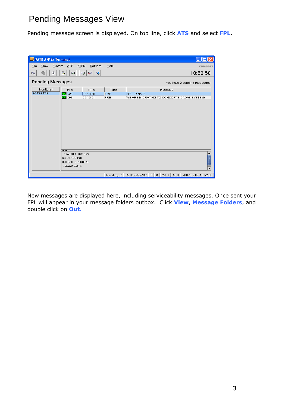### Pending Messages View

Pending message screen is displayed. On top line, click **ATS** and select **FPL.**

| NATS AFPEx Terminal                                                        |                                       |          |            |                                                             |
|----------------------------------------------------------------------------|---------------------------------------|----------|------------|-------------------------------------------------------------|
| ATFM<br>Retrieval<br>Eile<br>View<br>System<br>ATS<br>Help<br>COMSOFT      |                                       |          |            |                                                             |
| 酓<br>품<br>$\sum_{i=1}^{n}$<br>⊠∥<br>$\blacktriangleright$<br>$\infty$<br>Ķ |                                       |          |            | 10:52:50                                                    |
| <b>Pending Messages</b>                                                    |                                       |          |            | You have 2 pending messages.                                |
| Monitored                                                                  | Prio                                  | Time     | Type       | Message                                                     |
| <b>EGTESTAB</b><br>$\overline{\mathsf{M}}$ GG                              |                                       | 02 10:50 | <b>FRE</b> | <b>HELLO NATS</b>                                           |
| $\overline{\mathsf{M}}$ GG                                                 |                                       | 02 10:51 | <b>FRE</b> | WE ARE MIGRATING TO COMSOFT'S CADAS SYSTEM)                 |
| ▴▾                                                                         |                                       |          |            |                                                             |
|                                                                            | LYA1814 021049                        |          |            |                                                             |
|                                                                            | <b>GG EGTESTAB</b><br>021050 EGTESTAB |          |            |                                                             |
|                                                                            | HELLO NATS                            |          |            |                                                             |
|                                                                            |                                       |          |            |                                                             |
|                                                                            |                                       |          | Pending: 2 | B.<br>TSTOPS/OPS2<br>7S:1<br>AI: $0$<br>2007.08.02-10:52:50 |

New messages are displayed here, including serviceability messages. Once sent your FPL will appear in your message folders outbox. Click **View**, **Message Folders**, and double click on **Out.**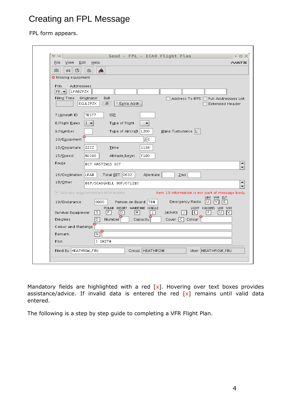## Creating an FPL Message

#### FPL form appears.

| View Edit<br>File     | Help<br>NATS                                                                                                                         |
|-----------------------|--------------------------------------------------------------------------------------------------------------------------------------|
| ⊟<br>凾<br>$\sqrt{2}$  | Á.                                                                                                                                   |
| Missing equipment     |                                                                                                                                      |
| Prio.<br>Addressees   |                                                                                                                                      |
| $FF -$<br>LFABZPZX    |                                                                                                                                      |
| Filing Time           | Originator<br>Bell<br>Address To IFPS<br>Full Addressees List<br>系<br>EGLLZPZX<br>* Extra Addr.<br><b>Extended Header</b>            |
|                       |                                                                                                                                      |
| 7/Aircraft ID         | TEST7<br><b>SSR</b>                                                                                                                  |
| 8/Flight Rules        | $I -$<br>Type of Flight                                                                                                              |
| 9/Number              | Wake Turbulence  L<br>Type of Aircraft   L200                                                                                        |
| 10/Equipment          | I C                                                                                                                                  |
| 13/Departure          | ZZZZ<br>1134<br>Time                                                                                                                 |
| 15/Spec               | F190<br>NO240<br>Altitude/Level                                                                                                      |
| Route                 | DCT HASTINGS DCT                                                                                                                     |
| 16/Destination   LFAB | Total EET 0632<br>Alternate<br>2nd                                                                                                   |
| 18/ <u>O</u> ther     | DEP/SCADGHILL DOF/071210                                                                                                             |
|                       |                                                                                                                                      |
|                       | Activate supplementary information<br>Item 19 information is not part of message body<br>UHF VHF ELT                                 |
| 19/Endurance          | E<br>0900<br>Person on Board TBN<br>Emergency Radio<br>IV.<br>ΙU                                                                     |
| Survival Equipment    | POLAR DESERT MARITIME JUNGLE<br>LIGHT FLUORES UHF VHF<br>$\sqrt{P}$<br>।ऽ।<br>$\lceil M \rceil$<br>ID<br>Jackets<br>L<br>F<br>υ<br>V |
| Dinghies              | Number<br>Capacity<br>Cover   C   Colour<br>D                                                                                        |
| Colour and Markings   |                                                                                                                                      |
| Remark                | 'N                                                                                                                                   |
| Pilot                 | J SMITH                                                                                                                              |

Mandatory fields are highlighted with a red  $[x]$ . Hovering over text boxes provides assistance/advice. If invalid data is entered the red  $[x]$  remains until valid data entered.

The following is a step by step guide to completing a VFR Flight Plan.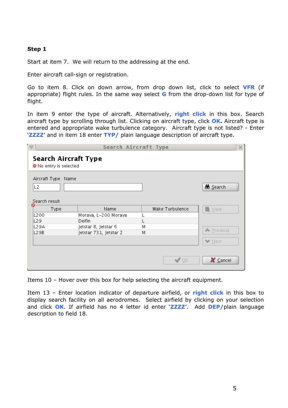#### **Step 1**

Start at item 7. We will return to the addressing at the end.

Enter aircraft call-sign or registration.

Go to item 8. Click on down arrow, from drop down list, click to select **VFR** (if appropriate) flight rules. In the same way select **G** from the drop-down list for type of flight.

In item 9 enter the type of aircraft. Alternatively, **right click** in this box. Search aircraft type by scrolling through list. Clicking on aircraft type, click **OK.** Aircraft type is entered and appropriate wake turbulence category. Aircraft type is not listed? - Enter '**ZZZZ**' and in item 18 enter **TYP/** plain language description of aircraft type.

| ′ त्त्                                                | Search Aircraft Type                                           |   |                 | ×                           |
|-------------------------------------------------------|----------------------------------------------------------------|---|-----------------|-----------------------------|
| Search Aircraft Type<br>No entry is selected          |                                                                |   |                 |                             |
| Aircraft Type Name<br>L <sub>2</sub><br>Search result |                                                                |   |                 | <b>86</b> Search            |
| Type<br>L200<br>L29<br>L29A                           | Name<br>Morava, L-200 Morava<br>Delfin<br>Jetstar 8, Jetstar 6 | Μ | Wake Turbulence | 圖 View                      |
| L29B                                                  | Jetstar 731, Jetstar 2                                         | М |                 | ← Previous<br><b>◆</b> Next |
|                                                       |                                                                |   | $\sqrt{\alpha}$ | $X \subseteq$ ancel         |

Items 10 – Hover over this box for help selecting the aircraft equipment.

Item 13 – Enter location indicator of departure airfield, or **right click** in this box to display search facility on all aerodromes. Select airfield by clicking on your selection and click **OK**. If airfield has no 4 letter id enter '**ZZZZ**'. Add **DEP/**plain language description to field 18.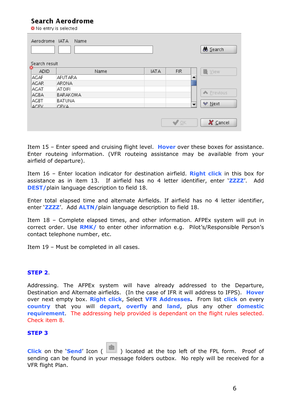#### Search Aerodrome

■ No entry is selected

| Aerodrome IATA<br>Search result | Name     |             |                          | <u>Search</u> |
|---------------------------------|----------|-------------|--------------------------|---------------|
| ▩<br>ADID                       | Name     | <b>IATA</b> | <b>FIR</b>               | 圖 View        |
| AGAF                            | AFUTARA  |             |                          |               |
| <b>AGAR</b>                     | ARONA    |             |                          |               |
| AGAT                            | ATOIFI   |             |                          |               |
| AGBA                            | BARAKOMA |             |                          | ← Previous    |
| AGBT                            | BATUNA   |             |                          |               |
| AGEV                            | CEVA     |             | $\overline{\phantom{a}}$ | ₩ Next        |
|                                 |          |             | $\sqrt{2K}$              | X Cancel      |

Item 15 – Enter speed and cruising flight level. **Hover** over these boxes for assistance. Enter routeing information. (VFR routeing assistance may be available from your airfield of departure).

Item 16 – Enter location indicator for destination airfield. **Right click** in this box for assistance as in item 13. If airfield has no 4 letter identifier, enter '**ZZZZ**'. Add **DEST/**plain language description to field 18.

Enter total elapsed time and alternate Airfields. If airfield has no 4 letter identifier, enter '**ZZZZ**'. Add **ALTN/**plain language description to field 18.

Item 18 – Complete elapsed times, and other information. AFPEx system will put in correct order. Use **RMK/** to enter other information e.g.Pilot's/Responsible Person's contact telephone number, etc.

Item 19 – Must be completed in all cases.

#### **STEP 2**.

Addressing. The AFPEx system will have already addressed to the Departure, Destination and Alternate airfields. (In the case of IFR it will address to IFPS). **Hover** over next empty box. **Right click**, Select **VFR Addresses.** From list **click** on every **country** that you will **depart**, **overfly** and **land**, plus any other **domestic requirement**. The addressing help provided is dependant on the flight rules selected. Check item 8.

#### **STEP 3**

**Click** on the **'Send'** Icon ( ) located at the top left of the FPL form. Proof of sending can be found in your message folders outbox. No reply will be received for a VFR flight Plan.